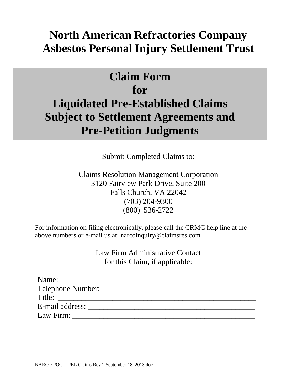# **North American Refractories Company Asbestos Personal Injury Settlement Trust**

# **Claim Form for Liquidated Pre-Established Claims Subject to Settlement Agreements and Pre-Petition Judgments**

Submit Completed Claims to:

Claims Resolution Management Corporation 3120 Fairview Park Drive, Suite 200 Falls Church, VA 22042 (703) 204-9300 (800) 536-2722

For information on filing electronically, please call the CRMC help line at the above numbers or e-mail us at: narcoinquiry@claimsres.com

> Law Firm Administrative Contact for this Claim, if applicable:

| Name:             |  |
|-------------------|--|
| Telephone Number: |  |
| Title:            |  |
| E-mail address:   |  |
| Law Firm:         |  |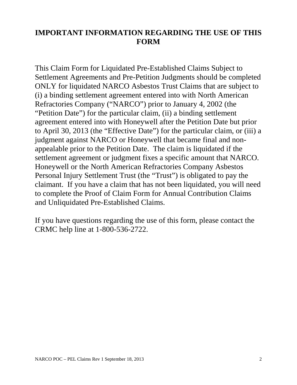# **IMPORTANT INFORMATION REGARDING THE USE OF THIS FORM**

This Claim Form for Liquidated Pre-Established Claims Subject to Settlement Agreements and Pre-Petition Judgments should be completed ONLY for liquidated NARCO Asbestos Trust Claims that are subject to (i) a binding settlement agreement entered into with North American Refractories Company ("NARCO") prior to January 4, 2002 (the "Petition Date") for the particular claim, (ii) a binding settlement agreement entered into with Honeywell after the Petition Date but prior to April 30, 2013 (the "Effective Date") for the particular claim, or (iii) a judgment against NARCO or Honeywell that became final and nonappealable prior to the Petition Date. The claim is liquidated if the settlement agreement or judgment fixes a specific amount that NARCO. Honeywell or the North American Refractories Company Asbestos Personal Injury Settlement Trust (the "Trust") is obligated to pay the claimant. If you have a claim that has not been liquidated, you will need to complete the Proof of Claim Form for Annual Contribution Claims and Unliquidated Pre-Established Claims.

If you have questions regarding the use of this form, please contact the CRMC help line at 1-800-536-2722.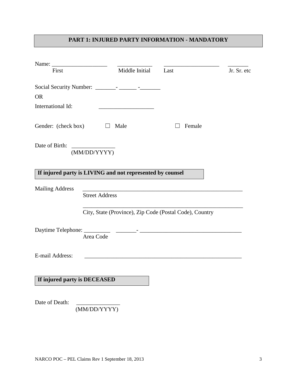## **PART 1: INJURED PARTY INFORMATION - MANDATORY**

| Name:                                                     |                       |                |                                                         |             |
|-----------------------------------------------------------|-----------------------|----------------|---------------------------------------------------------|-------------|
| First                                                     |                       | Middle Initial | Last                                                    | Jr. Sr. etc |
|                                                           |                       |                |                                                         |             |
| <b>OR</b>                                                 |                       |                |                                                         |             |
| International Id:                                         |                       |                |                                                         |             |
| Gender: (check box)                                       |                       | Male           | Female                                                  |             |
| Date of Birth:                                            | (MM/DD/YYYY)          |                |                                                         |             |
| If injured party is LIVING and not represented by counsel |                       |                |                                                         |             |
| <b>Mailing Address</b>                                    |                       |                |                                                         |             |
|                                                           | <b>Street Address</b> |                |                                                         |             |
|                                                           |                       |                | City, State (Province), Zip Code (Postal Code), Country |             |
|                                                           | Area Code             |                |                                                         |             |
| E-mail Address:                                           |                       |                |                                                         |             |
| If injured party is DECEASED                              |                       |                |                                                         |             |
| Date of Death:                                            | (MM/DD/YYYY)          |                |                                                         |             |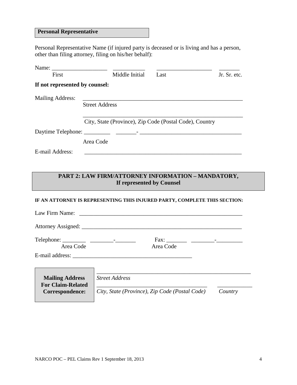#### **Personal Representative**

Personal Representative Name (if injured party is deceased or is living and has a person, other than filing attorney, filing on his/her behalf):

| Name:                          |                                                         |      |              |
|--------------------------------|---------------------------------------------------------|------|--------------|
| First                          | Middle Initial                                          | Last | Jr. Sr. etc. |
| If not represented by counsel: |                                                         |      |              |
| <b>Mailing Address:</b>        |                                                         |      |              |
|                                | <b>Street Address</b>                                   |      |              |
|                                |                                                         |      |              |
|                                | City, State (Province), Zip Code (Postal Code), Country |      |              |
|                                |                                                         |      |              |
|                                | Area Code                                               |      |              |
| E-mail Address:                |                                                         |      |              |

### **PART 2: LAW FIRM/ATTORNEY INFORMATION – MANDATORY, If represented by Counsel**

#### **IF AN ATTORNEY IS REPRESENTING THIS INJURED PARTY, COMPLETE THIS SECTION:**

| Law Firm Name:                                     |                                                |         |
|----------------------------------------------------|------------------------------------------------|---------|
|                                                    |                                                |         |
| Area Code                                          | $Fax: ____________ ____________$<br>Area Code  |         |
|                                                    | E-mail address:                                |         |
| <b>Mailing Address</b><br><b>For Claim-Related</b> | <b>Street Address</b>                          |         |
| Correspondence:                                    | City, State (Province), Zip Code (Postal Code) | Country |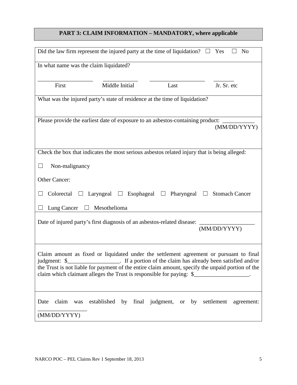## **PART 3: CLAIM INFORMATION – MANDATORY, where applicable**

|                                                                                                                                                                                                                                                                                                                                                                        | Did the law firm represent the injured party at the time of liquidation? $\square$ Yes       |                          | N <sub>0</sub>           |  |  |
|------------------------------------------------------------------------------------------------------------------------------------------------------------------------------------------------------------------------------------------------------------------------------------------------------------------------------------------------------------------------|----------------------------------------------------------------------------------------------|--------------------------|--------------------------|--|--|
| In what name was the claim liquidated?                                                                                                                                                                                                                                                                                                                                 |                                                                                              |                          |                          |  |  |
| First                                                                                                                                                                                                                                                                                                                                                                  | Middle Initial                                                                               | Last                     | Jr. Sr. etc              |  |  |
|                                                                                                                                                                                                                                                                                                                                                                        | What was the injured party's state of residence at the time of liquidation?                  |                          |                          |  |  |
|                                                                                                                                                                                                                                                                                                                                                                        | Please provide the earliest date of exposure to an asbestos-containing product:              |                          | (MM/DD/YYYY)             |  |  |
|                                                                                                                                                                                                                                                                                                                                                                        | Check the box that indicates the most serious asbestos related injury that is being alleged: |                          |                          |  |  |
| Non-malignancy<br>⊔                                                                                                                                                                                                                                                                                                                                                    |                                                                                              |                          |                          |  |  |
| Other Cancer:                                                                                                                                                                                                                                                                                                                                                          |                                                                                              |                          |                          |  |  |
| Colorectal<br>Laryngeal $\Box$ Esophageal<br>Pharyngeal $\Box$ Stomach Cancer<br>$\Box$<br>$\Box$                                                                                                                                                                                                                                                                      |                                                                                              |                          |                          |  |  |
| Lung Cancer                                                                                                                                                                                                                                                                                                                                                            | Mesothelioma                                                                                 |                          |                          |  |  |
|                                                                                                                                                                                                                                                                                                                                                                        | Date of injured party's first diagnosis of an asbestos-related disease:                      |                          | (MM/DD/YYYY)             |  |  |
| Claim amount as fixed or liquidated under the settlement agreement or pursuant to final<br>If a portion of the claim has already been satisfied and/or<br>judgment: \$<br>the Trust is not liable for payment of the entire claim amount, specify the unpaid portion of the<br>claim which claimant alleges the Trust is responsible for paying: \$__________________. |                                                                                              |                          |                          |  |  |
| claim<br>Date<br>was<br>(MM/DD/YYYY)                                                                                                                                                                                                                                                                                                                                   | established                                                                                  | by final judgment, or by | settlement<br>agreement: |  |  |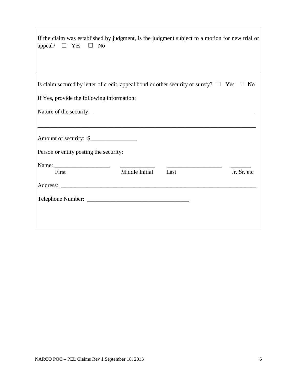| If the claim was established by judgment, is the judgment subject to a motion for new trial or<br>$\Box$ Yes<br>appeal?<br>$\Box$ No |                |      |             |
|--------------------------------------------------------------------------------------------------------------------------------------|----------------|------|-------------|
| Is claim secured by letter of credit, appeal bond or other security or surety? $\Box$ Yes $\Box$ No                                  |                |      |             |
| If Yes, provide the following information:                                                                                           |                |      |             |
|                                                                                                                                      |                |      |             |
| Amount of security: \$<br>Person or entity posting the security:                                                                     |                |      |             |
|                                                                                                                                      |                |      |             |
| First                                                                                                                                | Middle Initial | Last | Jr. Sr. etc |
| Address:                                                                                                                             |                |      |             |
|                                                                                                                                      |                |      |             |
|                                                                                                                                      |                |      |             |

 $\mathsf{r}$ 

٦